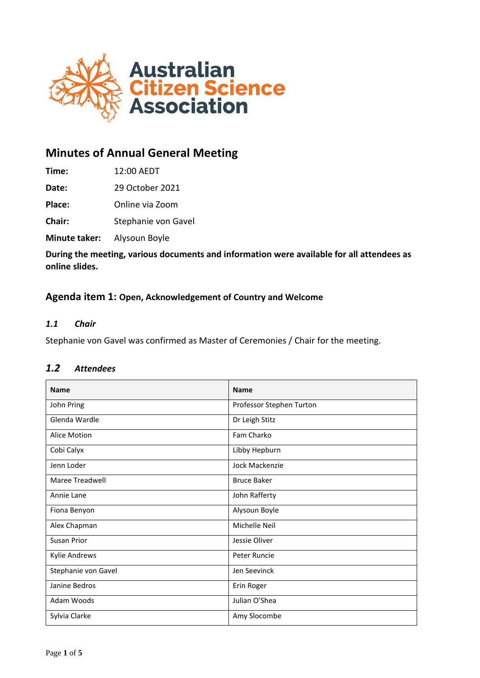

# **Minutes of Annual General Meeting**

| Time: | 12:00 AEDT |
|-------|------------|
|       |            |

**Date:** 29 October 2021

**Place:** Online via Zoom

**Chair:** Stephanie von Gavel

**Minute taker:** Alysoun Boyle

**During the meeting, various documents and information were available for all attendees as online slides.**

## **Agenda item 1: Open, Acknowledgement of Country and Welcome**

### *1.1 Chair*

Stephanie von Gavel was confirmed as Master of Ceremonies / Chair for the meeting.

| <b>Name</b>          | <b>Name</b>              |
|----------------------|--------------------------|
| John Pring           | Professor Stephen Turton |
| Glenda Wardle        | Dr Leigh Stitz           |
| <b>Alice Motion</b>  | Fam Charko               |
| Cobi Calyx           | Libby Hepburn            |
| Jenn Loder           | <b>Jock Mackenzie</b>    |
| Maree Treadwell      | <b>Bruce Baker</b>       |
| Annie Lane           | John Rafferty            |
| Fiona Benyon         | Alysoun Boyle            |
| Alex Chapman         | Michelle Neil            |
| Susan Prior          | Jessie Oliver            |
| <b>Kylie Andrews</b> | Peter Runcie             |
| Stephanie von Gavel  | Jen Seevinck             |
| Janine Bedros        | Erin Roger               |
| Adam Woods           | Julian O'Shea            |
| Sylvia Clarke        | Amy Slocombe             |

# *1.2 Attendees*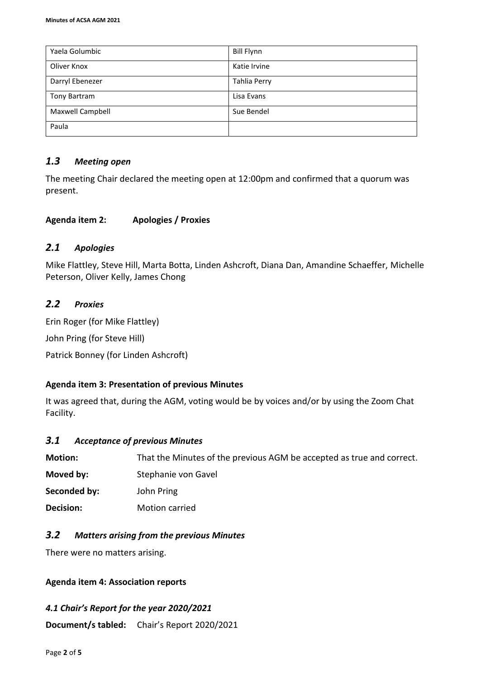| Yaela Golumbic   | <b>Bill Flynn</b>   |
|------------------|---------------------|
| Oliver Knox      | Katie Irvine        |
| Darryl Ebenezer  | <b>Tahlia Perry</b> |
| Tony Bartram     | Lisa Evans          |
| Maxwell Campbell | Sue Bendel          |
| Paula            |                     |

# *1.3 Meeting open*

The meeting Chair declared the meeting open at 12:00pm and confirmed that a quorum was present.

## **Agenda item 2: Apologies / Proxies**

## *2.1 Apologies*

Mike Flattley, Steve Hill, Marta Botta, Linden Ashcroft, Diana Dan, Amandine Schaeffer, Michelle Peterson, Oliver Kelly, James Chong

# *2.2 Proxies*

Erin Roger (for Mike Flattley) John Pring (for Steve Hill) Patrick Bonney (for Linden Ashcroft)

# **Agenda item 3: Presentation of previous Minutes**

It was agreed that, during the AGM, voting would be by voices and/or by using the Zoom Chat Facility.

## *3.1 Acceptance of previous Minutes*

| <b>Motion:</b> | That the Minutes of the previous AGM be accepted as true and correct. |
|----------------|-----------------------------------------------------------------------|
| Moved by:      | Stephanie von Gavel                                                   |
| Seconded by:   | John Pring                                                            |
| Decision:      | Motion carried                                                        |

# *3.2 Matters arising from the previous Minutes*

There were no matters arising.

## **Agenda item 4: Association reports**

# *4.1 Chair's Report for the year 2020/2021*

**Document/s tabled:** Chair's Report 2020/2021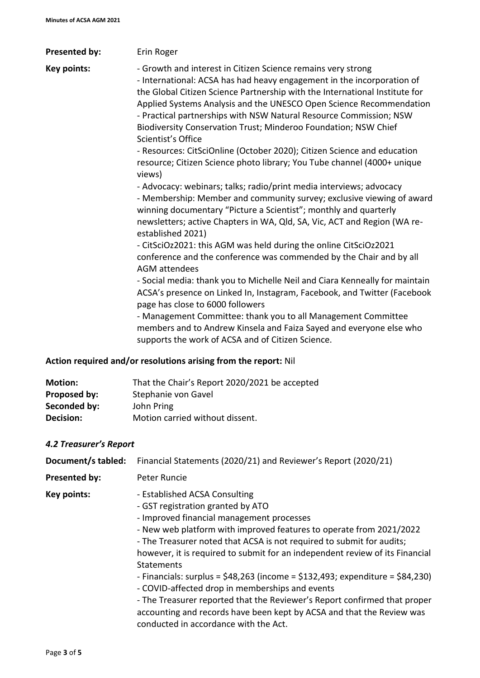| <b>Presented by:</b> | Erin Roger                                                                                                                                                                                                                                                                                                                                                                                                                                                                                                                             |
|----------------------|----------------------------------------------------------------------------------------------------------------------------------------------------------------------------------------------------------------------------------------------------------------------------------------------------------------------------------------------------------------------------------------------------------------------------------------------------------------------------------------------------------------------------------------|
| Key points:          | - Growth and interest in Citizen Science remains very strong<br>- International: ACSA has had heavy engagement in the incorporation of<br>the Global Citizen Science Partnership with the International Institute for<br>Applied Systems Analysis and the UNESCO Open Science Recommendation<br>- Practical partnerships with NSW Natural Resource Commission; NSW<br>Biodiversity Conservation Trust; Minderoo Foundation; NSW Chief<br>Scientist's Office<br>- Resources: CitSciOnline (October 2020); Citizen Science and education |
|                      | resource; Citizen Science photo library; You Tube channel (4000+ unique<br>views)                                                                                                                                                                                                                                                                                                                                                                                                                                                      |
|                      | - Advocacy: webinars; talks; radio/print media interviews; advocacy<br>- Membership: Member and community survey; exclusive viewing of award<br>winning documentary "Picture a Scientist"; monthly and quarterly<br>newsletters; active Chapters in WA, Qld, SA, Vic, ACT and Region (WA re-<br>established 2021)                                                                                                                                                                                                                      |
|                      | - CitSciOz2021: this AGM was held during the online CitSciOz2021<br>conference and the conference was commended by the Chair and by all<br>AGM attendees                                                                                                                                                                                                                                                                                                                                                                               |
|                      | - Social media: thank you to Michelle Neil and Ciara Kenneally for maintain<br>ACSA's presence on Linked In, Instagram, Facebook, and Twitter (Facebook<br>page has close to 6000 followers                                                                                                                                                                                                                                                                                                                                            |
|                      | - Management Committee: thank you to all Management Committee<br>members and to Andrew Kinsela and Faiza Sayed and everyone else who<br>supports the work of ACSA and of Citizen Science.                                                                                                                                                                                                                                                                                                                                              |
|                      | Action required and/or resolutions arising from the report: Nil                                                                                                                                                                                                                                                                                                                                                                                                                                                                        |

| <b>Motion:</b> | That the Chair's Report 2020/2021 be accepted |
|----------------|-----------------------------------------------|
| Proposed by:   | Stephanie von Gavel                           |
| Seconded by:   | John Pring                                    |
| Decision:      | Motion carried without dissent.               |
|                |                                               |

# *4.2 Treasurer's Report*

| Document/s tabled:   | Financial Statements (2020/21) and Reviewer's Report (2020/21)                                                                                                                                                                                                                                                                                                                                                                                                                                                                                                                                                                                                                                               |
|----------------------|--------------------------------------------------------------------------------------------------------------------------------------------------------------------------------------------------------------------------------------------------------------------------------------------------------------------------------------------------------------------------------------------------------------------------------------------------------------------------------------------------------------------------------------------------------------------------------------------------------------------------------------------------------------------------------------------------------------|
| <b>Presented by:</b> | Peter Runcie                                                                                                                                                                                                                                                                                                                                                                                                                                                                                                                                                                                                                                                                                                 |
| Key points:          | - Established ACSA Consulting<br>- GST registration granted by ATO<br>- Improved financial management processes<br>- New web platform with improved features to operate from 2021/2022<br>- The Treasurer noted that ACSA is not required to submit for audits;<br>however, it is required to submit for an independent review of its Financial<br><b>Statements</b><br>- Financials: surplus = $$48,263$ (income = $$132,493$ ; expenditure = $$84,230$ )<br>- COVID-affected drop in memberships and events<br>- The Treasurer reported that the Reviewer's Report confirmed that proper<br>accounting and records have been kept by ACSA and that the Review was<br>conducted in accordance with the Act. |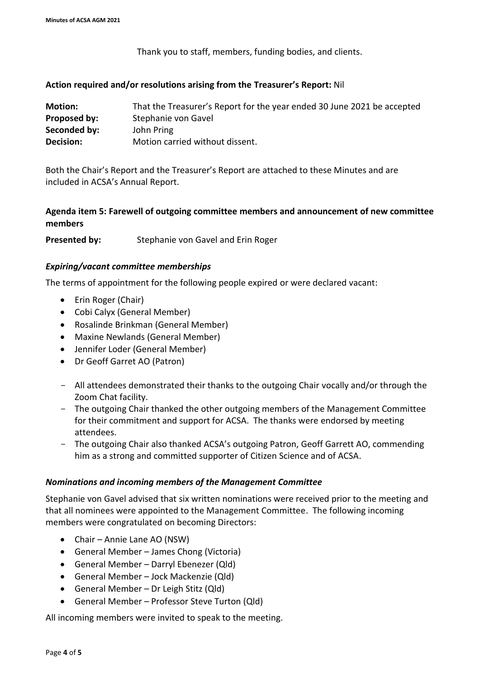Thank you to staff, members, funding bodies, and clients.

#### **Action required and/or resolutions arising from the Treasurer's Report:** Nil

| <b>Motion:</b>   | That the Treasurer's Report for the year ended 30 June 2021 be accepted |
|------------------|-------------------------------------------------------------------------|
| Proposed by:     | Stephanie von Gavel                                                     |
| Seconded by:     | John Pring                                                              |
| <b>Decision:</b> | Motion carried without dissent.                                         |

Both the Chair's Report and the Treasurer's Report are attached to these Minutes and are included in ACSA's Annual Report.

## **Agenda item 5: Farewell of outgoing committee members and announcement of new committee members**

**Presented by:** Stephanie von Gavel and Erin Roger

#### *Expiring/vacant committee memberships*

The terms of appointment for the following people expired or were declared vacant:

- Erin Roger (Chair)
- Cobi Calyx (General Member)
- Rosalinde Brinkman (General Member)
- Maxine Newlands (General Member)
- Jennifer Loder (General Member)
- Dr Geoff Garret AO (Patron)
- All attendees demonstrated their thanks to the outgoing Chair vocally and/or through the Zoom Chat facility.
- The outgoing Chair thanked the other outgoing members of the Management Committee for their commitment and support for ACSA. The thanks were endorsed by meeting attendees.
- The outgoing Chair also thanked ACSA's outgoing Patron, Geoff Garrett AO, commending him as a strong and committed supporter of Citizen Science and of ACSA.

### *Nominations and incoming members of the Management Committee*

Stephanie von Gavel advised that six written nominations were received prior to the meeting and that all nominees were appointed to the Management Committee. The following incoming members were congratulated on becoming Directors:

- Chair Annie Lane AO (NSW)
- General Member James Chong (Victoria)
- General Member Darryl Ebenezer (Qld)
- General Member Jock Mackenzie (Qld)
- General Member Dr Leigh Stitz (Qld)
- General Member Professor Steve Turton (Qld)

All incoming members were invited to speak to the meeting.